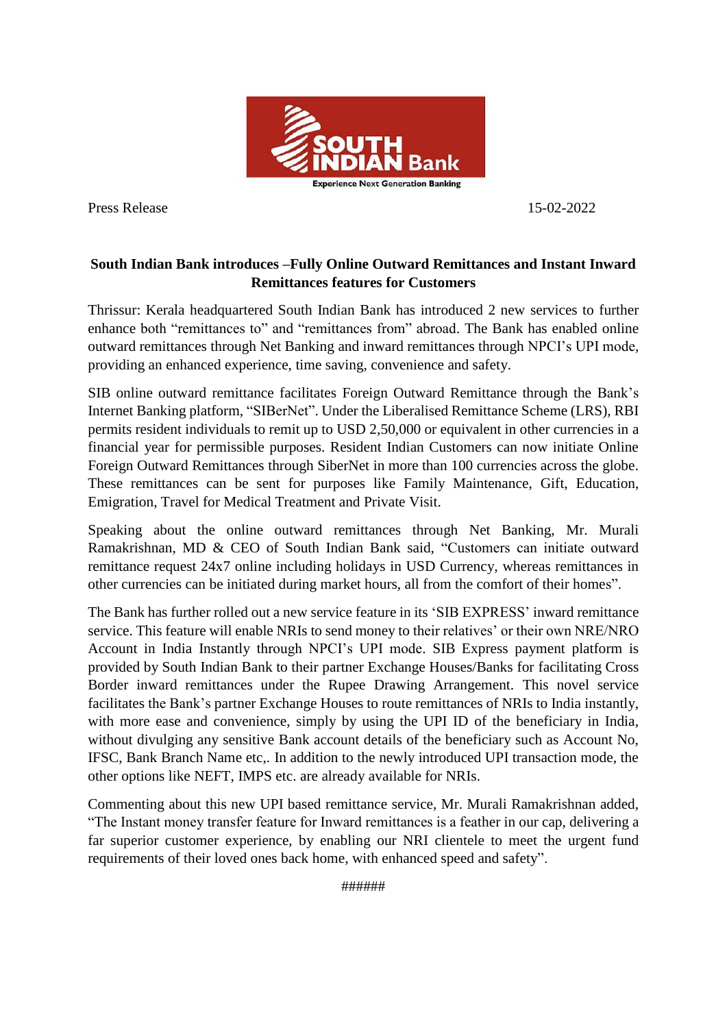

Press Release 15-02-2022

## **South Indian Bank introduces –Fully Online Outward Remittances and Instant Inward Remittances features for Customers**

Thrissur: Kerala headquartered South Indian Bank has introduced 2 new services to further enhance both "remittances to" and "remittances from" abroad. The Bank has enabled online outward remittances through Net Banking and inward remittances through NPCI's UPI mode, providing an enhanced experience, time saving, convenience and safety.

SIB online outward remittance facilitates Foreign Outward Remittance through the Bank's Internet Banking platform, "SIBerNet". Under the Liberalised Remittance Scheme (LRS), RBI permits resident individuals to remit up to USD 2,50,000 or equivalent in other currencies in a financial year for permissible purposes. Resident Indian Customers can now initiate Online Foreign Outward Remittances through SiberNet in more than 100 currencies across the globe. These remittances can be sent for purposes like Family Maintenance, Gift, Education, Emigration, Travel for Medical Treatment and Private Visit.

Speaking about the online outward remittances through Net Banking, Mr. Murali Ramakrishnan, MD & CEO of South Indian Bank said, "Customers can initiate outward remittance request 24x7 online including holidays in USD Currency, whereas remittances in other currencies can be initiated during market hours, all from the comfort of their homes".

The Bank has further rolled out a new service feature in its 'SIB EXPRESS' inward remittance service. This feature will enable NRIs to send money to their relatives' or their own NRE/NRO Account in India Instantly through NPCI's UPI mode. SIB Express payment platform is provided by South Indian Bank to their partner Exchange Houses/Banks for facilitating Cross Border inward remittances under the Rupee Drawing Arrangement. This novel service facilitates the Bank's partner Exchange Houses to route remittances of NRIs to India instantly, with more ease and convenience, simply by using the UPI ID of the beneficiary in India, without divulging any sensitive Bank account details of the beneficiary such as Account No, IFSC, Bank Branch Name etc,. In addition to the newly introduced UPI transaction mode, the other options like NEFT, IMPS etc. are already available for NRIs.

Commenting about this new UPI based remittance service, Mr. Murali Ramakrishnan added, "The Instant money transfer feature for Inward remittances is a feather in our cap, delivering a far superior customer experience, by enabling our NRI clientele to meet the urgent fund requirements of their loved ones back home, with enhanced speed and safety".

######